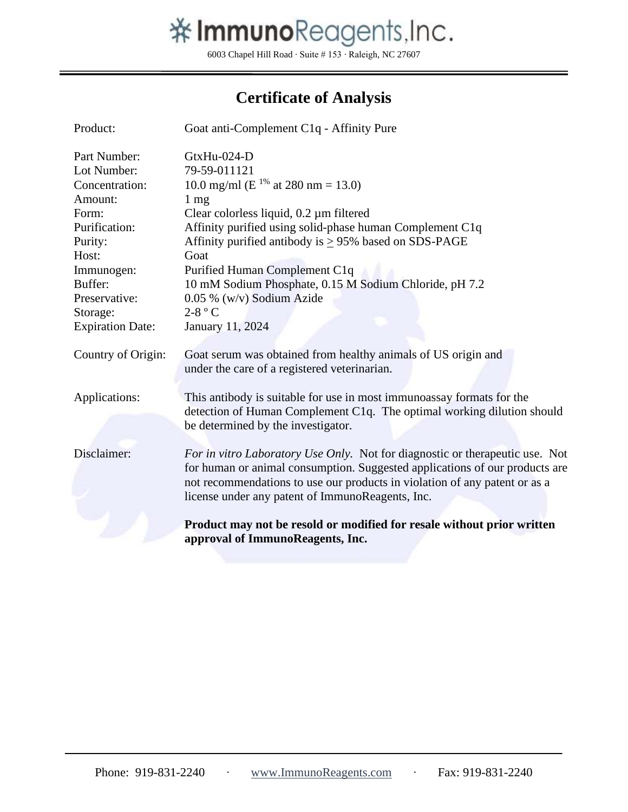

6003 Chapel Hill Road ∙ Suite # 153 ∙ Raleigh, NC 27607

## **Certificate of Analysis**

| Product:                | Goat anti-Complement C1q - Affinity Pure                                                                                                                                                                                                                                                      |  |
|-------------------------|-----------------------------------------------------------------------------------------------------------------------------------------------------------------------------------------------------------------------------------------------------------------------------------------------|--|
| Part Number:            | GtxHu-024-D                                                                                                                                                                                                                                                                                   |  |
| Lot Number:             | 79-59-011121                                                                                                                                                                                                                                                                                  |  |
| Concentration:          | 10.0 mg/ml (E <sup>1%</sup> at 280 nm = 13.0)                                                                                                                                                                                                                                                 |  |
| Amount:                 | $1 \text{ mg}$                                                                                                                                                                                                                                                                                |  |
| Form:                   | Clear colorless liquid, $0.2 \mu m$ filtered                                                                                                                                                                                                                                                  |  |
| Purification:           | Affinity purified using solid-phase human Complement C1q                                                                                                                                                                                                                                      |  |
| Purity:                 | Affinity purified antibody is $\geq$ 95% based on SDS-PAGE                                                                                                                                                                                                                                    |  |
| Host:                   | Goat                                                                                                                                                                                                                                                                                          |  |
| Immunogen:              | Purified Human Complement C1q                                                                                                                                                                                                                                                                 |  |
| Buffer:                 | 10 mM Sodium Phosphate, 0.15 M Sodium Chloride, pH 7.2                                                                                                                                                                                                                                        |  |
| Preservative:           | 0.05 % (w/v) Sodium Azide                                                                                                                                                                                                                                                                     |  |
| Storage:                | $2-8$ ° C                                                                                                                                                                                                                                                                                     |  |
| <b>Expiration Date:</b> | January 11, 2024                                                                                                                                                                                                                                                                              |  |
| Country of Origin:      | Goat serum was obtained from healthy animals of US origin and<br>under the care of a registered veterinarian.                                                                                                                                                                                 |  |
| Applications:           | This antibody is suitable for use in most immunoassay formats for the<br>detection of Human Complement C1q. The optimal working dilution should<br>be determined by the investigator.                                                                                                         |  |
| Disclaimer:             | For in vitro Laboratory Use Only. Not for diagnostic or therapeutic use. Not<br>for human or animal consumption. Suggested applications of our products are<br>not recommendations to use our products in violation of any patent or as a<br>license under any patent of ImmunoReagents, Inc. |  |
|                         | Product may not be resold or modified for resale without prior written<br>approval of ImmunoReagents, Inc.                                                                                                                                                                                    |  |